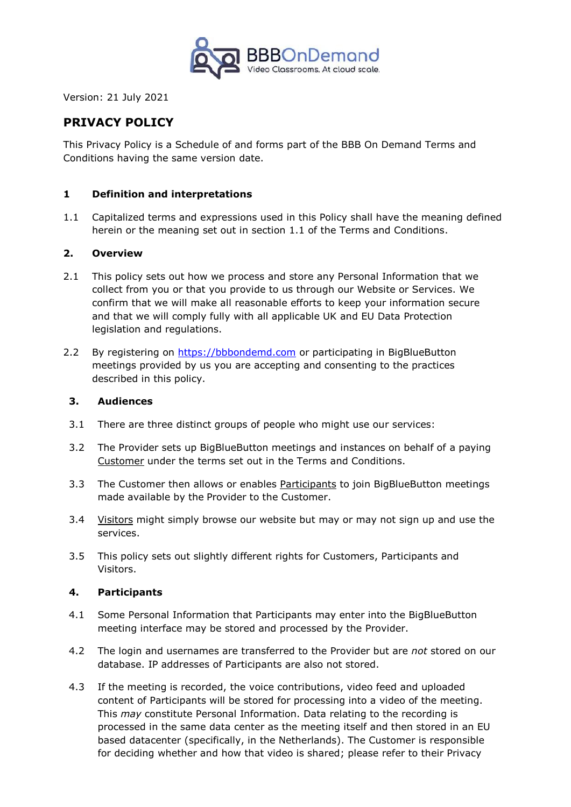

Version: 21 July 2021

# **PRIVACY POLICY**

This Privacy Policy is a Schedule of and forms part of the BBB On Demand Terms and Conditions having the same version date.

## **1 Definition and interpretations**

1.1 Capitalized terms and expressions used in this Policy shall have the meaning defined herein or the meaning set out in section 1.1 of the Terms and Conditions.

## **2. Overview**

- 2.1 This policy sets out how we process and store any Personal Information that we collect from you or that you provide to us through our Website or Services. We confirm that we will make all reasonable efforts to keep your information secure and that we will comply fully with all applicable UK and EU Data Protection legislation and regulations.
- 2.2 By registering on [https://bbbondemd.com](https://bbbondemd.com/) or participating in BigBlueButton meetings provided by us you are accepting and consenting to the practices described in this policy.

#### **3. Audiences**

- 3.1 There are three distinct groups of people who might use our services:
- 3.2 The Provider sets up BigBlueButton meetings and instances on behalf of a paying Customer under the terms set out in the Terms and Conditions.
- 3.3 The Customer then allows or enables Participants to join BigBlueButton meetings made available by the Provider to the Customer.
- 3.4 Visitors might simply browse our website but may or may not sign up and use the services.
- 3.5 This policy sets out slightly different rights for Customers, Participants and Visitors.

## **4. Participants**

- 4.1 Some Personal Information that Participants may enter into the BigBlueButton meeting interface may be stored and processed by the Provider.
- 4.2 The login and usernames are transferred to the Provider but are *not* stored on our database. IP addresses of Participants are also not stored.
- 4.3 If the meeting is recorded, the voice contributions, video feed and uploaded content of Participants will be stored for processing into a video of the meeting. This *may* constitute Personal Information. Data relating to the recording is processed in the same data center as the meeting itself and then stored in an EU based datacenter (specifically, in the Netherlands). The Customer is responsible for deciding whether and how that video is shared; please refer to their Privacy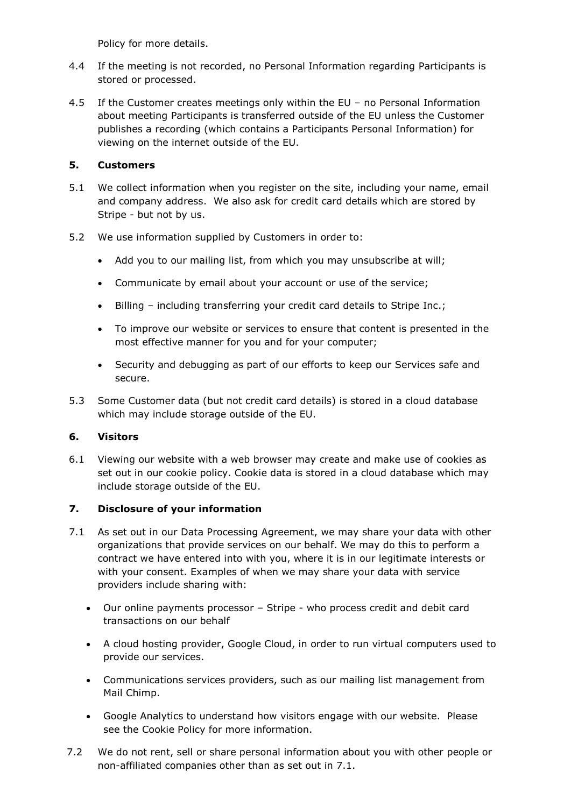Policy for more details.

- 4.4 If the meeting is not recorded, no Personal Information regarding Participants is stored or processed.
- 4.5 If the Customer creates meetings only within the EU no Personal Information about meeting Participants is transferred outside of the EU unless the Customer publishes a recording (which contains a Participants Personal Information) for viewing on the internet outside of the EU.

# **5. Customers**

- 5.1 We collect information when you register on the site, including your name, email and company address. We also ask for credit card details which are stored by Stripe - but not by us.
- 5.2 We use information supplied by Customers in order to:
	- Add you to our mailing list, from which you may unsubscribe at will;
	- Communicate by email about your account or use of the service;
	- Billing including transferring your credit card details to Stripe Inc.;
	- To improve our website or services to ensure that content is presented in the most effective manner for you and for your computer;
	- Security and debugging as part of our efforts to keep our Services safe and secure.
- 5.3 Some Customer data (but not credit card details) is stored in a cloud database which may include storage outside of the EU.

## **6. Visitors**

6.1 Viewing our website with a web browser may create and make use of cookies as set out in our cookie policy. Cookie data is stored in a cloud database which may include storage outside of the EU.

## **7. Disclosure of your information**

- 7.1 As set out in our Data Processing Agreement, we may share your data with other organizations that provide services on our behalf. We may do this to perform a contract we have entered into with you, where it is in our legitimate interests or with your consent. Examples of when we may share your data with service providers include sharing with:
	- Our online payments processor Stripe who process credit and debit card transactions on our behalf
	- A cloud hosting provider, Google Cloud, in order to run virtual computers used to provide our services.
	- Communications services providers, such as our mailing list management from Mail Chimp.
	- Google Analytics to understand how visitors engage with our website. Please see the Cookie Policy for more information.
- 7.2 We do not rent, sell or share personal information about you with other people or non-affiliated companies other than as set out in 7.1.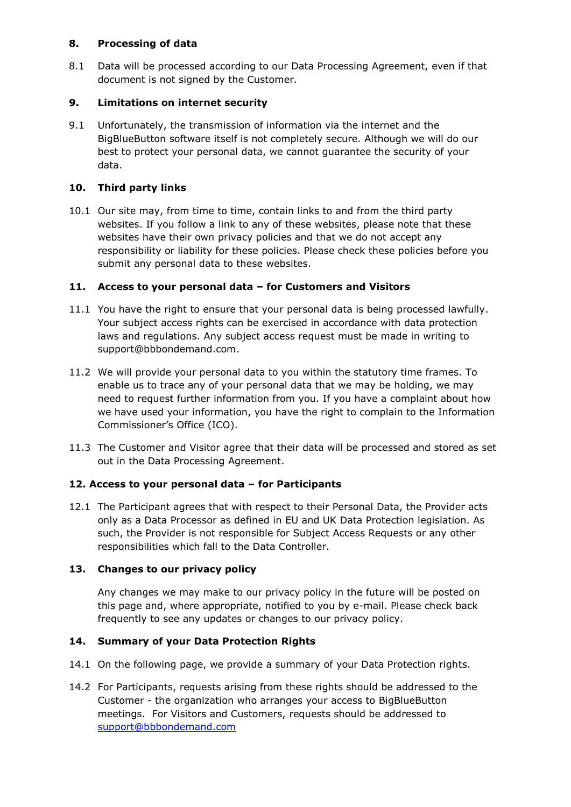## **8. Processing of data**

8.1 Data will be processed according to our Data Processing Agreement, even if that document is not signed by the Customer.

# **9. Limitations on internet security**

9.1 Unfortunately, the transmission of information via the internet and the BigBlueButton software itself is not completely secure. Although we will do our best to protect your personal data, we cannot guarantee the security of your data.

# **10. Third party links**

10.1 Our site may, from time to time, contain links to and from the third party websites. If you follow a link to any of these websites, please note that these websites have their own privacy policies and that we do not accept any responsibility or liability for these policies. Please check these policies before you submit any personal data to these websites.

# **11. Access to your personal data – for Customers and Visitors**

- 11.1 You have the right to ensure that your personal data is being processed lawfully. Your subject access rights can be exercised in accordance with data protection laws and regulations. Any subject access request must be made in writing to support@bbbondemand.com.
- 11.2 We will provide your personal data to you within the statutory time frames. To enable us to trace any of your personal data that we may be holding, we may need to request further information from you. If you have a complaint about how we have used your information, you have the right to complain to the Information Commissioner's Office (ICO).
- 11.3 The Customer and Visitor agree that their data will be processed and stored as set out in the Data Processing Agreement.

# **12. Access to your personal data – for Participants**

12.1 The Participant agrees that with respect to their Personal Data, the Provider acts only as a Data Processor as defined in EU and UK Data Protection legislation. As such, the Provider is not responsible for Subject Access Requests or any other responsibilities which fall to the Data Controller.

## **13. Changes to our privacy policy**

Any changes we may make to our privacy policy in the future will be posted on this page and, where appropriate, notified to you by e-mail. Please check back frequently to see any updates or changes to our privacy policy.

# **14. Summary of your Data Protection Rights**

- 14.1 On the following page, we provide a summary of your Data Protection rights.
- 14.2 For Participants, requests arising from these rights should be addressed to the Customer - the organization who arranges your access to BigBlueButton meetings. For Visitors and Customers, requests should be addressed to [support@bbbondemand.com](mailto:support@bbbondemand.com)